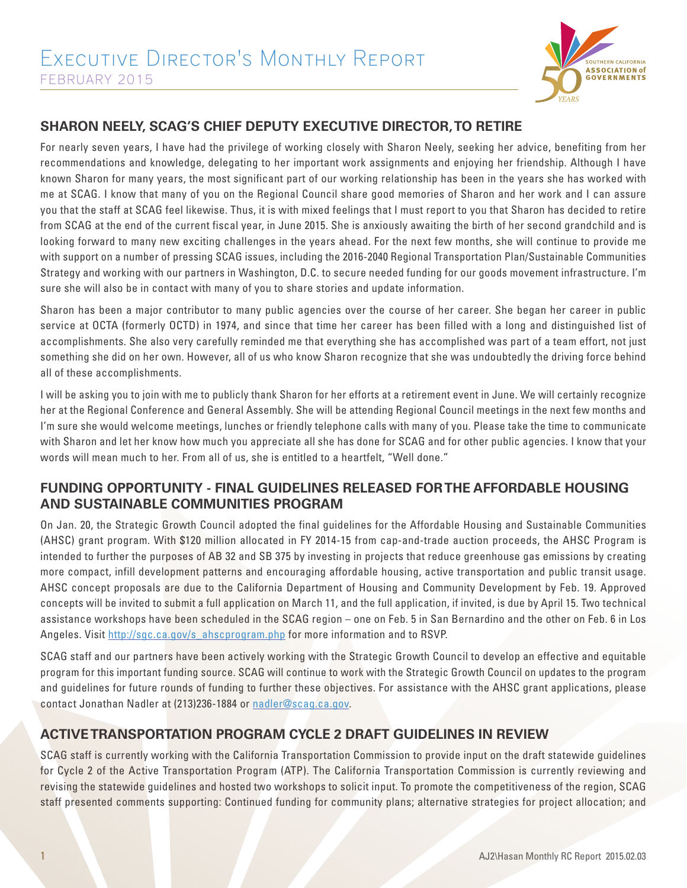

## **SHARON NEELY, SCAG'S CHIEF DEPUTY EXECUTIVE DIRECTOR, TO RETIRE**

For nearly seven years, I have had the privilege of working closely with Sharon Neely, seeking her advice, benefiting from her recommendations and knowledge, delegating to her important work assignments and enjoying her friendship. Although I have known Sharon for many years, the most significant part of our working relationship has been in the years she has worked with me at SCAG. I know that many of you on the Regional Council share good memories of Sharon and her work and I can assure you that the staff at SCAG feel likewise. Thus, it is with mixed feelings that I must report to you that Sharon has decided to retire from SCAG at the end of the current fiscal year, in June 2015. She is anxiously awaiting the birth of her second grandchild and is looking forward to many new exciting challenges in the years ahead. For the next few months, she will continue to provide me with support on a number of pressing SCAG issues, including the 2016-2040 Regional Transportation Plan/Sustainable Communities Strategy and working with our partners in Washington, D.C. to secure needed funding for our goods movement infrastructure. I'm sure she will also be in contact with many of you to share stories and update information.

Sharon has been a major contributor to many public agencies over the course of her career. She began her career in public service at OCTA (formerly OCTD) in 1974, and since that time her career has been filled with a long and distinguished list of accomplishments. She also very carefully reminded me that everything she has accomplished was part of a team effort, not just something she did on her own. However, all of us who know Sharon recognize that she was undoubtedly the driving force behind all of these accomplishments.

I will be asking you to join with me to publicly thank Sharon for her efforts at a retirement event in June. We will certainly recognize her at the Regional Conference and General Assembly. She will be attending Regional Council meetings in the next few months and I'm sure she would welcome meetings, lunches or friendly telephone calls with many of you. Please take the time to communicate with Sharon and let her know how much you appreciate all she has done for SCAG and for other public agencies. I know that your words will mean much to her. From all of us, she is entitled to a heartfelt, "Well done."

### **FUNDING OPPORTUNITY - FINAL GUIDELINES RELEASED FOR THE AFFORDABLE HOUSING AND SUSTAINABLE COMMUNITIES PROGRAM**

On Jan. 20, the Strategic Growth Council adopted the final guidelines for the Affordable Housing and Sustainable Communities (AHSC) grant program. With \$120 million allocated in FY 2014-15 from cap-and-trade auction proceeds, the AHSC Program is intended to further the purposes of AB 32 and SB 375 by investing in projects that reduce greenhouse gas emissions by creating more compact, infill development patterns and encouraging affordable housing, active transportation and public transit usage. AHSC concept proposals are due to the California Department of Housing and Community Development by Feb. 19. Approved concepts will be invited to submit a full application on March 11, and the full application, if invited, is due by April 15. Two technical assistance workshops have been scheduled in the SCAG region – one on Feb. 5 in San Bernardino and the other on Feb. 6 in Los Angeles. Visit http://sgc.ca.gov/s\_ahscprogram.php for more information and to RSVP.

SCAG staff and our partners have been actively working with the Strategic Growth Council to develop an effective and equitable program for this important funding source. SCAG will continue to work with the Strategic Growth Council on updates to the program and guidelines for future rounds of funding to further these objectives. For assistance with the AHSC grant applications, please contact Jonathan Nadler at (213)236-1884 or nadler@scag.ca.gov.

# **ACTIVE TRANSPORTATION PROGRAM CYCLE 2 DRAFT GUIDELINES IN REVIEW**

SCAG staff is currently working with the California Transportation Commission to provide input on the draft statewide guidelines for Cycle 2 of the Active Transportation Program (ATP). The California Transportation Commission is currently reviewing and revising the statewide guidelines and hosted two workshops to solicit input. To promote the competitiveness of the region, SCAG staff presented comments supporting: Continued funding for community plans; alternative strategies for project allocation; and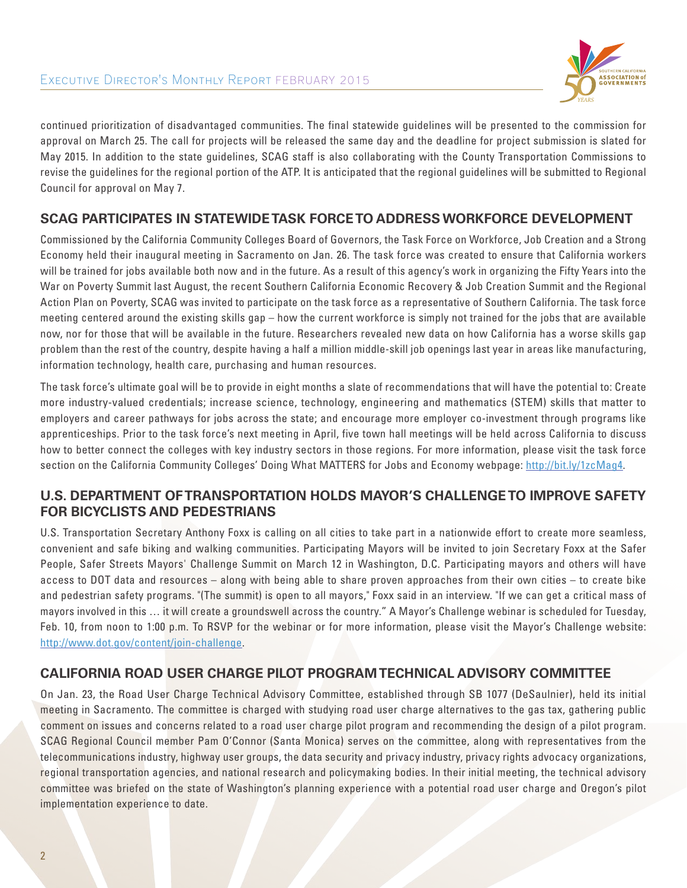

continued prioritization of disadvantaged communities. The final statewide guidelines will be presented to the commission for approval on March 25. The call for projects will be released the same day and the deadline for project submission is slated for May 2015. In addition to the state guidelines, SCAG staff is also collaborating with the County Transportation Commissions to revise the guidelines for the regional portion of the ATP. It is anticipated that the regional guidelines will be submitted to Regional Council for approval on May 7.

#### **SCAG PARTICIPATES IN STATEWIDE TASK FORCE TO ADDRESS WORKFORCE DEVELOPMENT**

Commissioned by the California Community Colleges Board of Governors, the Task Force on Workforce, Job Creation and a Strong Economy held their inaugural meeting in Sacramento on Jan. 26. The task force was created to ensure that California workers will be trained for jobs available both now and in the future. As a result of this agency's work in organizing the Fifty Years into the War on Poverty Summit last August, the recent Southern California Economic Recovery & Job Creation Summit and the Regional Action Plan on Poverty, SCAG was invited to participate on the task force as a representative of Southern California. The task force meeting centered around the existing skills gap – how the current workforce is simply not trained for the jobs that are available now, nor for those that will be available in the future. Researchers revealed new data on how California has a worse skills gap problem than the rest of the country, despite having a half a million middle-skill job openings last year in areas like manufacturing, information technology, health care, purchasing and human resources.

The task force's ultimate goal will be to provide in eight months a slate of recommendations that will have the potential to: Create more industry-valued credentials; increase science, technology, engineering and mathematics (STEM) skills that matter to employers and career pathways for jobs across the state; and encourage more employer co-investment through programs like apprenticeships. Prior to the task force's next meeting in April, five town hall meetings will be held across California to discuss how to better connect the colleges with key industry sectors in those regions. For more information, please visit the task force section on the California Community Colleges' Doing What MATTERS for Jobs and Economy webpage: http://bit.ly/1zcMag4.

#### **U.S. DEPARTMENT OF TRANSPORTATION HOLDS MAYOR'S CHALLENGE TO IMPROVE SAFETY FOR BICYCLISTS AND PEDESTRIANS**

U.S. Transportation Secretary Anthony Foxx is calling on all cities to take part in a nationwide effort to create more seamless, convenient and safe biking and walking communities. Participating Mayors will be invited to join Secretary Foxx at the Safer People, Safer Streets Mayors' Challenge Summit on March 12 in Washington, D.C. Participating mayors and others will have access to DOT data and resources – along with being able to share proven approaches from their own cities – to create bike and pedestrian safety programs. "(The summit) is open to all mayors," Foxx said in an interview. "If we can get a critical mass of mayors involved in this … it will create a groundswell across the country." A Mayor's Challenge webinar is scheduled for Tuesday, Feb. 10, from noon to 1:00 p.m. To RSVP for the webinar or for more information, please visit the Mayor's Challenge website: http://www.dot.gov/content/join-challenge.

### **CALIFORNIA ROAD USER CHARGE PILOT PROGRAM TECHNICAL ADVISORY COMMITTEE**

On Jan. 23, the Road User Charge Technical Advisory Committee, established through SB 1077 (DeSaulnier), held its initial meeting in Sacramento. The committee is charged with studying road user charge alternatives to the gas tax, gathering public comment on issues and concerns related to a road user charge pilot program and recommending the design of a pilot program. SCAG Regional Council member Pam O'Connor (Santa Monica) serves on the committee, along with representatives from the telecommunications industry, highway user groups, the data security and privacy industry, privacy rights advocacy organizations, regional transportation agencies, and national research and policymaking bodies. In their initial meeting, the technical advisory committee was briefed on the state of Washington's planning experience with a potential road user charge and Oregon's pilot implementation experience to date.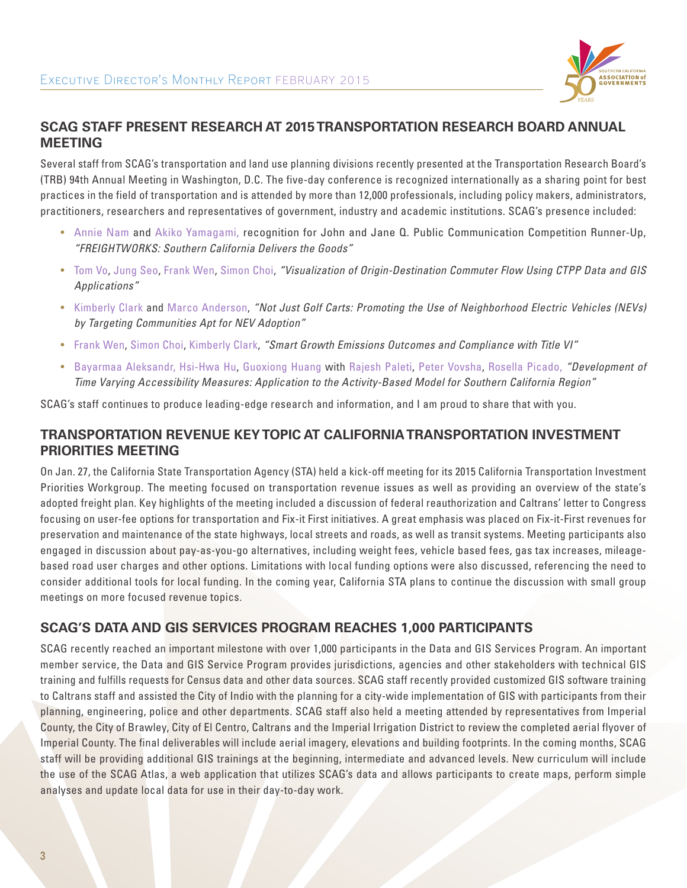

### **SCAG STAFF PRESENT RESEARCH AT 2015 TRANSPORTATION RESEARCH BOARD ANNUAL MEETING**

Several staff from SCAG's transportation and land use planning divisions recently presented at the Transportation Research Board's (TRB) 94th Annual Meeting in Washington, D.C. The five-day conference is recognized internationally as a sharing point for best practices in the field of transportation and is attended by more than 12,000 professionals, including policy makers, administrators, practitioners, researchers and representatives of government, industry and academic institutions. SCAG's presence included:

- Annie Nam and Akiko Yamagami, recognition for John and Jane Q. Public Communication Competition Runner-Up, *"FREIGHTWORKS: Southern California Delivers the Goods"*
- Tom Vo, Jung Seo, Frank Wen, Simon Choi, *"Visualization of Origin-Destination Commuter Flow Using CTPP Data and GIS Applications"*
- Kimberly Clark and Marco Anderson, *"Not Just Golf Carts: Promoting the Use of Neighborhood Electric Vehicles (NEVs) by Targeting Communities Apt for NEV Adoption"*
- Frank Wen, Simon Choi, Kimberly Clark, *"Smart Growth Emissions Outcomes and Compliance with Title VI"*
- Bayarmaa Aleksandr, Hsi-Hwa Hu, Guoxiong Huang with Rajesh Paleti, Peter Vovsha, Rosella Picado, *"Development of Time Varying Accessibility Measures: Application to the Activity-Based Model for Southern California Region"*

SCAG's staff continues to produce leading-edge research and information, and I am proud to share that with you.

### **TRANSPORTATION REVENUE KEY TOPIC AT CALIFORNIA TRANSPORTATION INVESTMENT PRIORITIES MEETING**

On Jan. 27, the California State Transportation Agency (STA) held a kick-off meeting for its 2015 California Transportation Investment Priorities Workgroup. The meeting focused on transportation revenue issues as well as providing an overview of the state's adopted freight plan. Key highlights of the meeting included a discussion of federal reauthorization and Caltrans' letter to Congress focusing on user-fee options for transportation and Fix-it First initiatives. A great emphasis was placed on Fix-it-First revenues for preservation and maintenance of the state highways, local streets and roads, as well as transit systems. Meeting participants also engaged in discussion about pay-as-you-go alternatives, including weight fees, vehicle based fees, gas tax increases, mileagebased road user charges and other options. Limitations with local funding options were also discussed, referencing the need to consider additional tools for local funding. In the coming year, California STA plans to continue the discussion with small group meetings on more focused revenue topics.

# **SCAG'S DATA AND GIS SERVICES PROGRAM REACHES 1,000 PARTICIPANTS**

SCAG recently reached an important milestone with over 1,000 participants in the Data and GIS Services Program. An important member service, the Data and GIS Service Program provides jurisdictions, agencies and other stakeholders with technical GIS training and fulfills requests for Census data and other data sources. SCAG staff recently provided customized GIS software training to Caltrans staff and assisted the City of Indio with the planning for a city-wide implementation of GIS with participants from their planning, engineering, police and other departments. SCAG staff also held a meeting attended by representatives from Imperial County, the City of Brawley, City of El Centro, Caltrans and the Imperial Irrigation District to review the completed aerial flyover of Imperial County. The final deliverables will include aerial imagery, elevations and building footprints. In the coming months, SCAG staff will be providing additional GIS trainings at the beginning, intermediate and advanced levels. New curriculum will include the use of the SCAG Atlas, a web application that utilizes SCAG's data and allows participants to create maps, perform simple analyses and update local data for use in their day-to-day work.